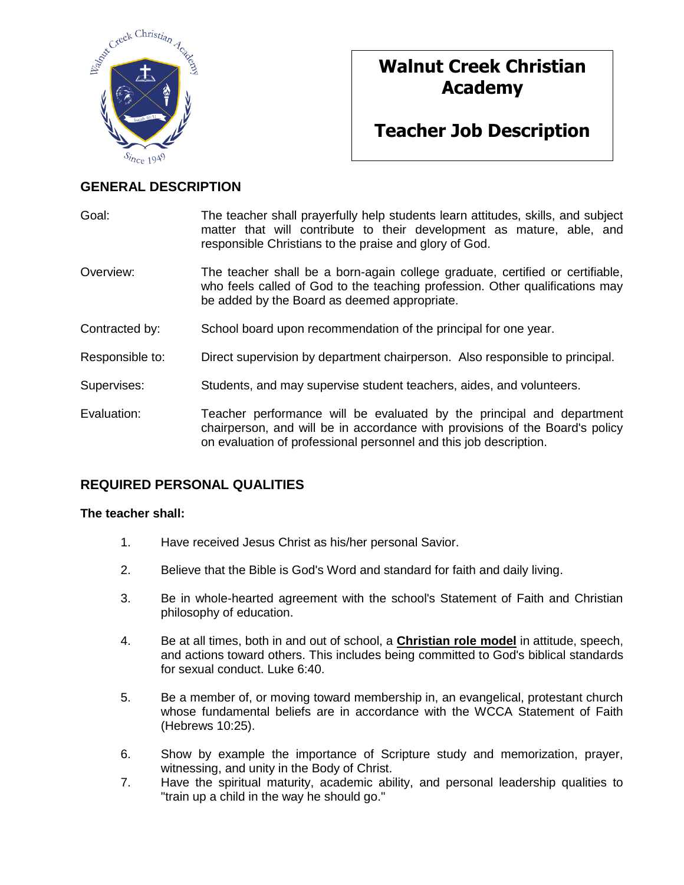

# **Walnut Creek Christian Academy**

# **Teacher Job Description**

## **GENERAL DESCRIPTION**

| Goal:           | The teacher shall prayerfully help students learn attitudes, skills, and subject<br>matter that will contribute to their development as mature, able, and<br>responsible Christians to the praise and glory of God.        |  |  |
|-----------------|----------------------------------------------------------------------------------------------------------------------------------------------------------------------------------------------------------------------------|--|--|
| Overview:       | The teacher shall be a born-again college graduate, certified or certifiable,<br>who feels called of God to the teaching profession. Other qualifications may<br>be added by the Board as deemed appropriate.              |  |  |
| Contracted by:  | School board upon recommendation of the principal for one year.                                                                                                                                                            |  |  |
| Responsible to: | Direct supervision by department chairperson. Also responsible to principal.                                                                                                                                               |  |  |
| Supervises:     | Students, and may supervise student teachers, aides, and volunteers.                                                                                                                                                       |  |  |
| Evaluation:     | Teacher performance will be evaluated by the principal and department<br>chairperson, and will be in accordance with provisions of the Board's policy<br>on evaluation of professional personnel and this job description. |  |  |

# **REQUIRED PERSONAL QUALITIES**

#### **The teacher shall:**

- 1. Have received Jesus Christ as his/her personal Savior.
- 2. Believe that the Bible is God's Word and standard for faith and daily living.
- 3. Be in whole-hearted agreement with the school's Statement of Faith and Christian philosophy of education.
- 4. Be at all times, both in and out of school, a **Christian role model** in attitude, speech, and actions toward others. This includes being committed to God's biblical standards for sexual conduct. Luke 6:40.
- 5. Be a member of, or moving toward membership in, an evangelical, protestant church whose fundamental beliefs are in accordance with the WCCA Statement of Faith (Hebrews 10:25).
- 6. Show by example the importance of Scripture study and memorization, prayer, witnessing, and unity in the Body of Christ.
- 7. Have the spiritual maturity, academic ability, and personal leadership qualities to "train up a child in the way he should go."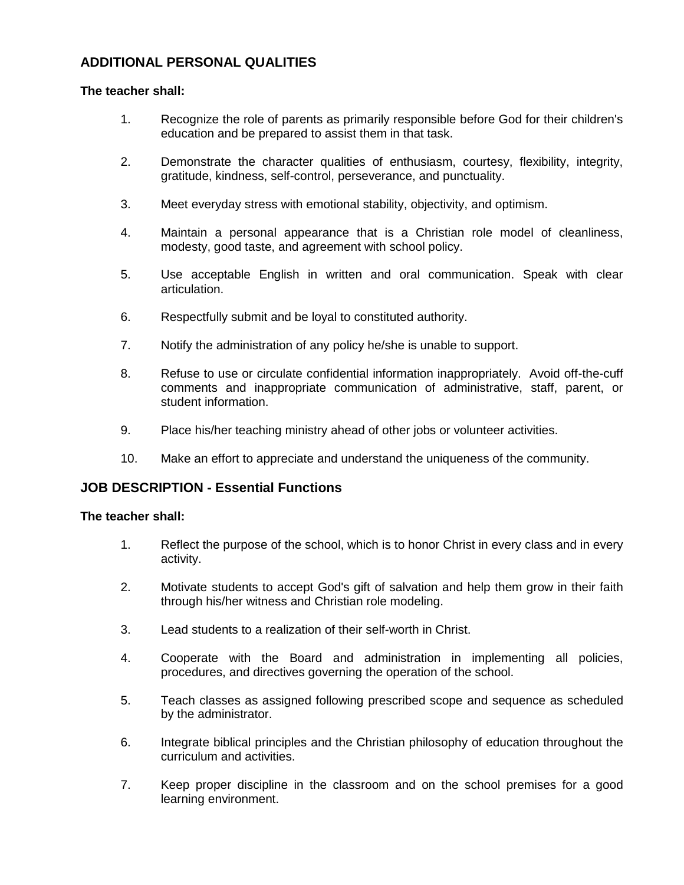### **ADDITIONAL PERSONAL QUALITIES**

#### **The teacher shall:**

- 1. Recognize the role of parents as primarily responsible before God for their children's education and be prepared to assist them in that task.
- 2. Demonstrate the character qualities of enthusiasm, courtesy, flexibility, integrity, gratitude, kindness, self-control, perseverance, and punctuality.
- 3. Meet everyday stress with emotional stability, objectivity, and optimism.
- 4. Maintain a personal appearance that is a Christian role model of cleanliness, modesty, good taste, and agreement with school policy.
- 5. Use acceptable English in written and oral communication. Speak with clear articulation.
- 6. Respectfully submit and be loyal to constituted authority.
- 7. Notify the administration of any policy he/she is unable to support.
- 8. Refuse to use or circulate confidential information inappropriately. Avoid off-the-cuff comments and inappropriate communication of administrative, staff, parent, or student information.
- 9. Place his/her teaching ministry ahead of other jobs or volunteer activities.
- 10. Make an effort to appreciate and understand the uniqueness of the community.

#### **JOB DESCRIPTION - Essential Functions**

#### **The teacher shall:**

- 1. Reflect the purpose of the school, which is to honor Christ in every class and in every activity.
- 2. Motivate students to accept God's gift of salvation and help them grow in their faith through his/her witness and Christian role modeling.
- 3. Lead students to a realization of their self-worth in Christ.
- 4. Cooperate with the Board and administration in implementing all policies, procedures, and directives governing the operation of the school.
- 5. Teach classes as assigned following prescribed scope and sequence as scheduled by the administrator.
- 6. Integrate biblical principles and the Christian philosophy of education throughout the curriculum and activities.
- 7. Keep proper discipline in the classroom and on the school premises for a good learning environment.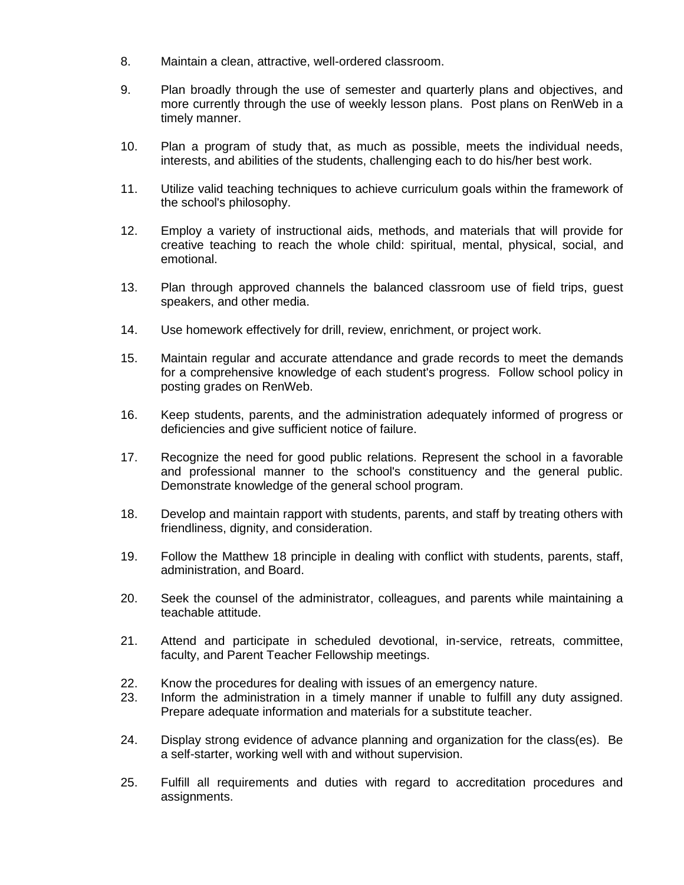- 8. Maintain a clean, attractive, well-ordered classroom.
- 9. Plan broadly through the use of semester and quarterly plans and objectives, and more currently through the use of weekly lesson plans. Post plans on RenWeb in a timely manner.
- 10. Plan a program of study that, as much as possible, meets the individual needs, interests, and abilities of the students, challenging each to do his/her best work.
- 11. Utilize valid teaching techniques to achieve curriculum goals within the framework of the school's philosophy.
- 12. Employ a variety of instructional aids, methods, and materials that will provide for creative teaching to reach the whole child: spiritual, mental, physical, social, and emotional.
- 13. Plan through approved channels the balanced classroom use of field trips, guest speakers, and other media.
- 14. Use homework effectively for drill, review, enrichment, or project work.
- 15. Maintain regular and accurate attendance and grade records to meet the demands for a comprehensive knowledge of each student's progress. Follow school policy in posting grades on RenWeb.
- 16. Keep students, parents, and the administration adequately informed of progress or deficiencies and give sufficient notice of failure.
- 17. Recognize the need for good public relations. Represent the school in a favorable and professional manner to the school's constituency and the general public. Demonstrate knowledge of the general school program.
- 18. Develop and maintain rapport with students, parents, and staff by treating others with friendliness, dignity, and consideration.
- 19. Follow the Matthew 18 principle in dealing with conflict with students, parents, staff, administration, and Board.
- 20. Seek the counsel of the administrator, colleagues, and parents while maintaining a teachable attitude.
- 21. Attend and participate in scheduled devotional, in-service, retreats, committee, faculty, and Parent Teacher Fellowship meetings.
- 22. Know the procedures for dealing with issues of an emergency nature.
- 23. Inform the administration in a timely manner if unable to fulfill any duty assigned. Prepare adequate information and materials for a substitute teacher.
- 24. Display strong evidence of advance planning and organization for the class(es). Be a self-starter, working well with and without supervision.
- 25. Fulfill all requirements and duties with regard to accreditation procedures and assignments.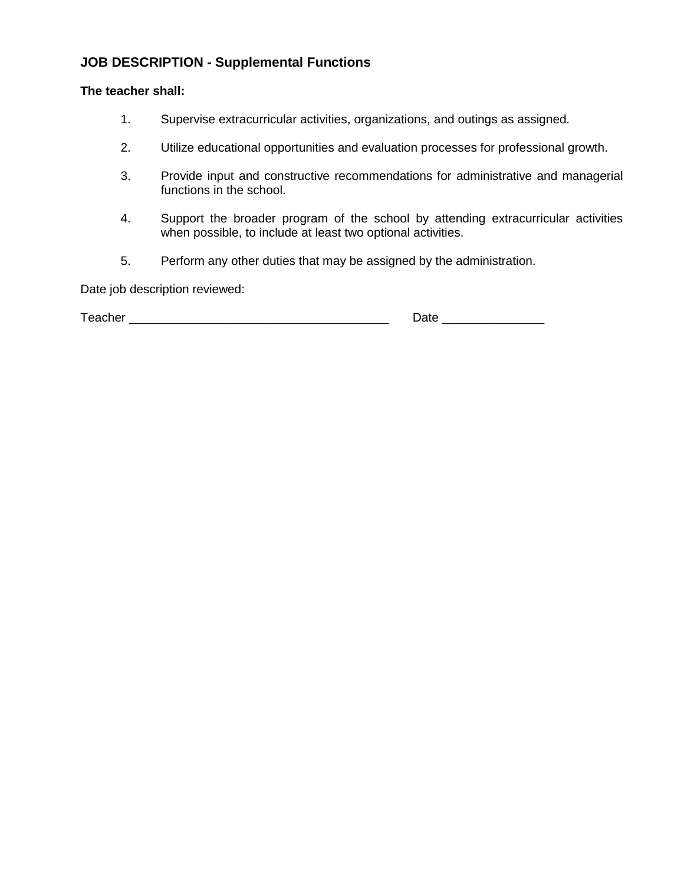# **JOB DESCRIPTION - Supplemental Functions**

#### **The teacher shall:**

- 1. Supervise extracurricular activities, organizations, and outings as assigned.
- 2. Utilize educational opportunities and evaluation processes for professional growth.
- 3. Provide input and constructive recommendations for administrative and managerial functions in the school.
- 4. Support the broader program of the school by attending extracurricular activities when possible, to include at least two optional activities.
- 5. Perform any other duties that may be assigned by the administration.

Date job description reviewed:

| $T = 20$<br>71 P<br>-----<br>--- - | _<br>__ |
|------------------------------------|---------|
|------------------------------------|---------|